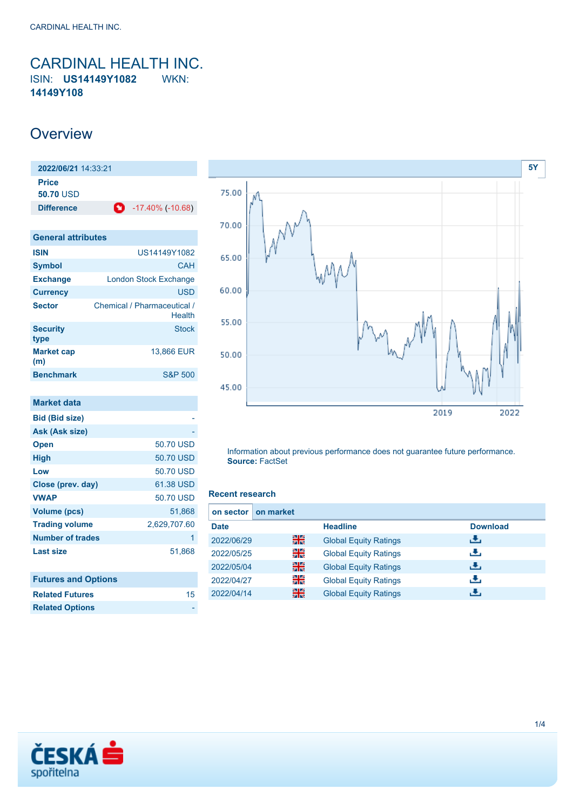### <span id="page-0-0"></span>CARDINAL HEALTH INC. ISIN: **US14149Y1082** WKN: **14149Y108**

### **Overview**

**2022/06/21** 14:33:21 **Price 50.70** USD **Difference** -17.40% (-10.68)

| <b>General attributes</b> |                                       |  |  |  |
|---------------------------|---------------------------------------|--|--|--|
| <b>ISIN</b>               | US14149Y1082                          |  |  |  |
| <b>Symbol</b>             | CAH                                   |  |  |  |
| <b>Exchange</b>           | London Stock Exchange                 |  |  |  |
| <b>Currency</b>           | <b>USD</b>                            |  |  |  |
| <b>Sector</b>             | Chemical / Pharmaceutical /<br>Health |  |  |  |
| <b>Security</b><br>type   | <b>Stock</b>                          |  |  |  |
| <b>Market cap</b><br>(m)  | 13.866 EUR                            |  |  |  |
| <b>Benchmark</b>          | <b>S&amp;P 500</b>                    |  |  |  |

| <b>Market data</b>         |              |
|----------------------------|--------------|
| <b>Bid (Bid size)</b>      |              |
| Ask (Ask size)             |              |
| <b>Open</b>                | 50.70 USD    |
| High                       | 50.70 USD    |
| Low                        | 50.70 USD    |
| Close (prev. day)          | 61.38 USD    |
| <b>VWAP</b>                | 50.70 USD    |
| Volume (pcs)               | 51.868       |
| <b>Trading volume</b>      | 2,629,707.60 |
| <b>Number of trades</b>    | 1            |
| Last size                  | 51,868       |
|                            |              |
| <b>Futures and Options</b> |              |

**Related Futures** [15](https://cz.products.erstegroup.com/Retail/en/Dispatcher/SearchDispatcher/Market/future/index.phtml?ID_INSTRUMENT_CLASS_FUTURE=88361422)



Information about previous performance does not guarantee future performance. **Source:** FactSet

#### **Recent research**

| on sector I | on market |                              |                 |
|-------------|-----------|------------------------------|-----------------|
| <b>Date</b> |           | <b>Headline</b>              | <b>Download</b> |
| 2022/06/29  | 픪춙        | <b>Global Equity Ratings</b> | ريان            |
| 2022/05/25  | 을         | <b>Global Equity Ratings</b> | رنان            |
| 2022/05/04  | 噐         | <b>Global Equity Ratings</b> | رنان            |
| 2022/04/27  | 을         | <b>Global Equity Ratings</b> | æ,              |
| 2022/04/14  | 噐         | <b>Global Equity Ratings</b> | ٠₩,             |



**Related Options**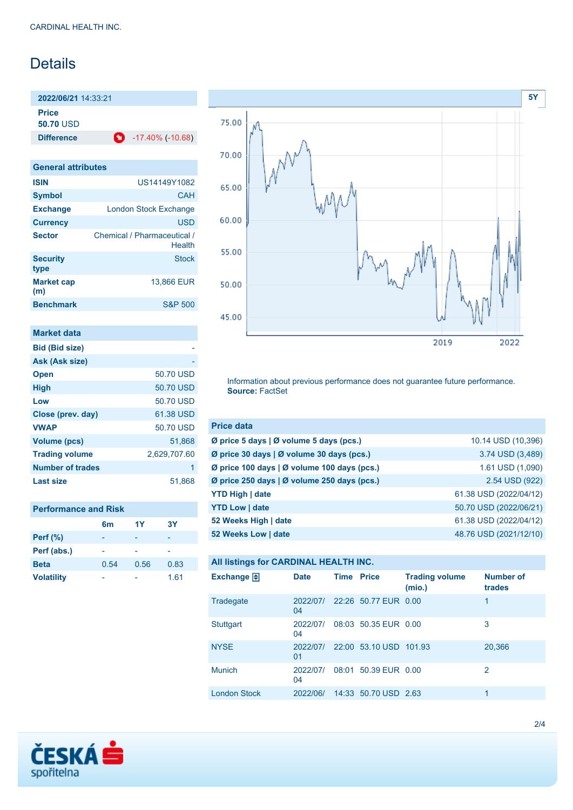## **Details**

**2022/06/21** 14:33:21

**Price**

**50.70** USD

**Difference** -17.40% (-10.68)

| <b>General attributes</b> |                                       |  |
|---------------------------|---------------------------------------|--|
| <b>ISIN</b>               | US14149Y1082                          |  |
| Symbol                    | CAH                                   |  |
| <b>Exchange</b>           | <b>London Stock Exchange</b>          |  |
| <b>Currency</b>           | USD                                   |  |
| <b>Sector</b>             | Chemical / Pharmaceutical /<br>Health |  |
| <b>Security</b><br>type   | Stock                                 |  |
| <b>Market cap</b><br>(m)  | 13.866 EUR                            |  |
| <b>Benchmark</b>          | <b>S&amp;P 500</b>                    |  |

| <b>Market data</b>      |              |
|-------------------------|--------------|
| <b>Bid (Bid size)</b>   |              |
| Ask (Ask size)          |              |
| <b>Open</b>             | 50.70 USD    |
| <b>High</b>             | 50.70 USD    |
| Low                     | 50.70 USD    |
| Close (prev. day)       | 61.38 USD    |
| <b>VWAP</b>             | 50.70 USD    |
| Volume (pcs)            | 51.868       |
| <b>Trading volume</b>   | 2,629,707.60 |
| <b>Number of trades</b> | 1            |
| Last size               | 51,868       |

| <b>Performance and Risk</b> |      |      |      |
|-----------------------------|------|------|------|
|                             | 6m   | 1Y   | 3Υ   |
| <b>Perf</b> (%)             |      |      |      |
| Perf (abs.)                 |      |      |      |
| <b>Beta</b>                 | 0.54 | 0.56 | 0.83 |
| <b>Volatility</b>           |      |      | 1.61 |



Information about previous performance does not guarantee future performance. **Source:** FactSet

| <b>Price data</b>                           |                        |
|---------------------------------------------|------------------------|
| Ø price 5 days   Ø volume 5 days (pcs.)     | 10.14 USD (10,396)     |
| Ø price 30 days   Ø volume 30 days (pcs.)   | 3.74 USD (3,489)       |
| Ø price 100 days   Ø volume 100 days (pcs.) | 1.61 USD (1,090)       |
| Ø price 250 days   Ø volume 250 days (pcs.) | 2.54 USD (922)         |
| <b>YTD High   date</b>                      | 61.38 USD (2022/04/12) |
| <b>YTD Low   date</b>                       | 50.70 USD (2022/06/21) |
| 52 Weeks High   date                        | 61.38 USD (2022/04/12) |
| 52 Weeks Low   date                         | 48.76 USD (2021/12/10) |

#### **All listings for CARDINAL HEALTH INC.**

| Exchange 日          | <b>Date</b>    | <b>Time Price</b> |                        | <b>Trading volume</b><br>(mio.) | <b>Number of</b><br>trades |
|---------------------|----------------|-------------------|------------------------|---------------------------------|----------------------------|
| Tradegate           | 2022/07/<br>04 |                   | 22:26 50.77 EUR 0.00   |                                 | 1                          |
| <b>Stuttgart</b>    | 2022/07/<br>04 |                   | 08:03 50.35 EUR 0.00   |                                 | 3                          |
| <b>NYSE</b>         | 2022/07/<br>01 |                   | 22:00 53.10 USD 101.93 |                                 | 20,366                     |
| <b>Munich</b>       | 2022/07/<br>04 |                   | 08:01 50.39 EUR 0.00   |                                 | $\overline{c}$             |
| <b>London Stock</b> | 2022/06/       |                   | 14:33 50.70 USD 2.63   |                                 | 1                          |

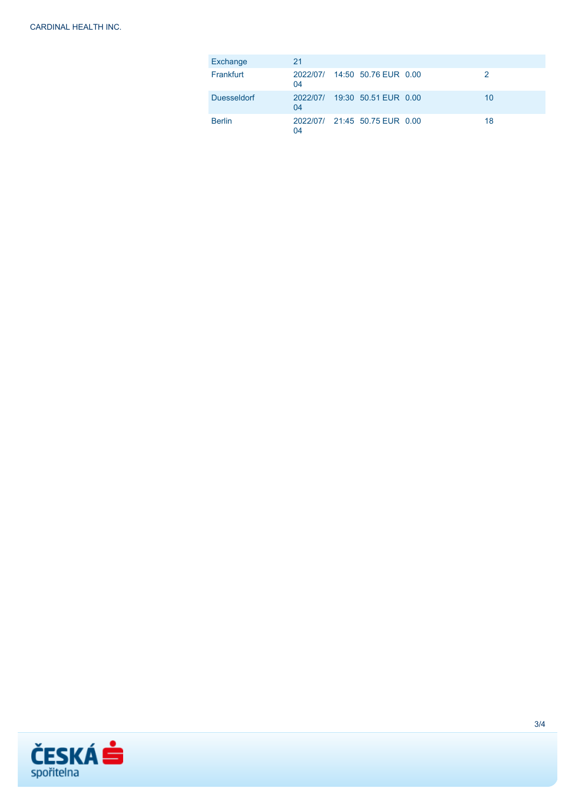| Exchange           | 21 |                               |    |
|--------------------|----|-------------------------------|----|
| Frankfurt          | 04 | 2022/07/ 14:50 50.76 EUR 0.00 | 2  |
| <b>Duesseldorf</b> | 04 | 2022/07/ 19:30 50.51 EUR 0.00 | 10 |
| <b>Berlin</b>      | 04 | 2022/07/ 21:45 50.75 EUR 0.00 | 18 |